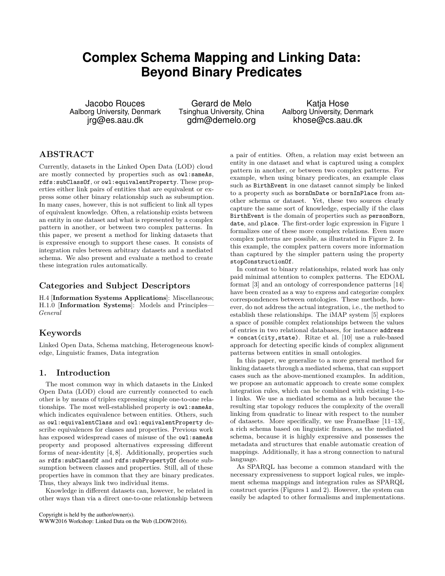# **Complex Schema Mapping and Linking Data: Beyond Binary Predicates**

Jacobo Rouces Aalborg University, Denmark jrg@es.aau.dk

Gerard de Melo Tsinghua University, China gdm@demelo.org

Katja Hose Aalborg University, Denmark khose@cs.aau.dk

# **ABSTRACT**

Currently, datasets in the Linked Open Data (LOD) cloud are mostly connected by properties such as owl:sameAs, rdfs:subClassOf, or owl:equivalentProperty. These properties either link pairs of entities that are equivalent or express some other binary relationship such as subsumption. In many cases, however, this is not sufficient to link all types of equivalent knowledge. Often, a relationship exists between an entity in one dataset and what is represented by a complex pattern in another, or between two complex patterns. In this paper, we present a method for linking datasets that is expressive enough to support these cases. It consists of integration rules between arbitrary datasets and a mediated schema. We also present and evaluate a method to create these integration rules automatically.

## **Categories and Subject Descriptors**

H.4 [**Information Systems Applications**]: Miscellaneous; H.1.0 [**Information Systems**]: Models and Principles— *General*

# **Keywords**

Linked Open Data, Schema matching, Heterogeneous knowledge, Linguistic frames, Data integration

## **1. Introduction**

The most common way in which datasets in the Linked Open Data (LOD) cloud are currently connected to each other is by means of triples expressing simple one-to-one relationships. The most well-established property is  $ov1:sameAs$ , which indicates equivalence between entities. Others, such as owl:equivalentClass and owl:equivalentProperty describe equivalences for classes and properties. Previous work has exposed widespread cases of misuse of the owl:sameAs property and proposed alternatives expressing different forms of near-identity [4, 8]. Additionally, properties such as rdfs:subClassOf and rdfs:subPropertyOf denote subsumption between classes and properties. Still, all of these properties have in common that they are binary predicates. Thus, they always link two individual items.

Knowledge in different datasets can, however, be related in other ways than via a direct one-to-one relationship between

Copyright is held by the author/owner(s).

WWW2016 Workshop: Linked Data on the Web (LDOW2016).

a pair of entities. Often, a relation may exist between an entity in one dataset and what is captured using a complex pattern in another, or between two complex patterns. For example, when using binary predicates, an example class such as BirthEvent in one dataset cannot simply be linked to a property such as bornOnDate or bornInPlace from another schema or dataset. Yet, these two sources clearly capture the same sort of knowledge, especially if the class BirthEvent is the domain of properties such as personBorn, date, and place. The first-order logic expression in Figure 1 formalizes one of these more complex relations. Even more complex patterns are possible, as illustrated in Figure 2. In this example, the complex pattern covers more information than captured by the simpler pattern using the property stopConstructionOf.

In contrast to binary relationships, related work has only paid minimal attention to complex patterns. The EDOAL format [3] and an ontology of correspondence patterns [14] have been created as a way to express and categorize complex correspondences between ontologies. These methods, however, do not address the actual integration, i.e., the method to establish these relationships. The iMAP system [5] explores a space of possible complex relationships between the values of entries in two relational databases, for instance address = concat(city,state). Ritze et al. [10] use a rule-based approach for detecting specific kinds of complex alignment patterns between entities in small ontologies.

In this paper, we generalize to a more general method for linking datasets through a mediated schema, that can support cases such as the above-mentioned examples. In addition, we propose an automatic approach to create some complex integration rules, which can be combined with existing 1-to-1 links. We use a mediated schema as a hub because the resulting star topology reduces the complexity of the overall linking from quadratic to linear with respect to the number of datasets. More specifically, we use FrameBase [11–13], a rich schema based on linguistic frames, as the mediated schema, because it is highly expressive and possesses the metadata and structures that enable automatic creation of mappings. Additionally, it has a strong connection to natural language.

As SPARQL has become a common standard with the necessary expressiveness to support logical rules, we implement schema mappings and integration rules as SPARQL construct queries (Figures 1 and 2). However, the system can easily be adapted to other formalisms and implementations.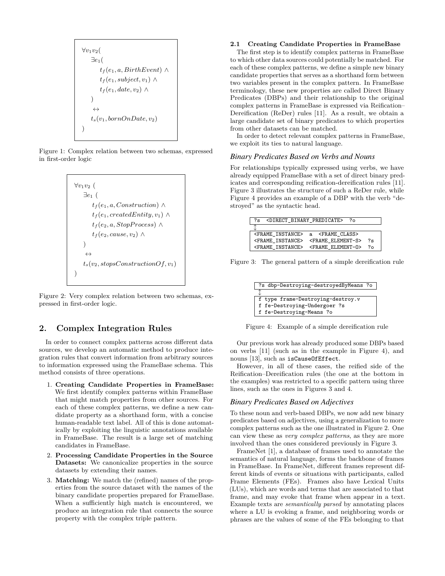$$
\forall v_1v_2(\exists e_1(\forall t_f(e_1, a, BirthEvent) \land \forall t_f(e_1, subject, v_1) \land \forall t_f(e_1, date, v_2) \land \leftrightarrow \forall t_s(v_1, bornOnDate, v_2)
$$

Figure 1: Complex relation between two schemas, expressed in first-order logic

```
∀v_1v_2 (
   ∃e1 (
       t_f(e_1, a, Construction) \wedget_f(e_1, createdEntity, v_1) \wedget_f(e_2, a, Stop Process) \wedget_f(e_2, cause, v_2) \wedge)
    ↔
   t_s(v_2, stopsConstructionOf, v_1))
```
Figure 2: Very complex relation between two schemas, expressed in first-order logic.

# **2. Complex Integration Rules**

In order to connect complex patterns across different data sources, we develop an automatic method to produce integration rules that convert information from arbitrary sources to information expressed using the FrameBase schema. This method consists of three operations.

- 1. **Creating Candidate Properties in FrameBase:** We first identify complex patterns within FrameBase that might match properties from other sources. For each of these complex patterns, we define a new candidate property as a shorthand form, with a concise human-readable text label. All of this is done automatically by exploiting the linguistic annotations available in FrameBase. The result is a large set of matching candidates in FrameBase.
- 2. **Processing Candidate Properties in the Source Datasets:** We canonicalize properties in the source datasets by extending their names.
- 3. **Matching:** We match the (refined) names of the properties from the source dataset with the names of the binary candidate properties prepared for FrameBase. When a sufficiently high match is encountered, we produce an integration rule that connects the source property with the complex triple pattern.

#### **2.1 Creating Candidate Properties in FrameBase**

The first step is to identify complex patterns in FrameBase to which other data sources could potentially be matched. For each of these complex patterns, we define a simple new binary candidate properties that serves as a shorthand form between two variables present in the complex pattern. In FrameBase terminology, these new properties are called Direct Binary Predicates (DBPs) and their relationship to the original complex patterns in FrameBase is expressed via Reification– Dereification (ReDer) rules [11]. As a result, we obtain a large candidate set of binary predicates to which properties from other datasets can be matched.

In order to detect relevant complex patterns in FrameBase, we exploit its ties to natural language.

#### *Binary Predicates Based on Verbs and Nouns*

For relationships typically expressed using verbs, we have already equipped FrameBase with a set of direct binary predicates and corresponding reification-dereification rules [11]. Figure 3 illustrates the structure of such a ReDer rule, while Figure 4 provides an example of a DBP with the verb "destroyed" as the syntactic head.

| ?s <direct binary="" predicate=""> ?o</direct> |                                            |    |
|------------------------------------------------|--------------------------------------------|----|
|                                                |                                            |    |
| <frame instance=""/> a <frame class=""/>       |                                            |    |
|                                                | <frame instance=""/> <frame element-s=""/> | ?s |
|                                                | <frame instance=""/> <frame element-0=""/> | 7۵ |

Figure 3: The general pattern of a simple dereification rule

| ?s dbp-Destroying-destroyedByMeans ?o |  |
|---------------------------------------|--|
|                                       |  |
| f type frame-Destroying-destroy.v     |  |
| f fe-Destroying-Undergoer ?s          |  |
| f fe-Destroying-Means ?o              |  |

Figure 4: Example of a simple dereification rule

Our previous work has already produced some DBPs based on verbs [11] (such as in the example in Figure 4), and nouns [13], such as isCauseOfEffect.

However, in all of these cases, the reified side of the Reification–Dereification rules (the one at the bottom in the examples) was restricted to a specific pattern using three lines, such as the ones in Figures 3 and 4.

#### *Binary Predicates Based on Adjectives*

To these noun and verb-based DBPs, we now add new binary predicates based on adjectives, using a generalization to more complex patterns such as the one illustrated in Figure 2. One can view these as *very complex patterns*, as they are more involved than the ones considered previously in Figure 3.

FrameNet [1], a database of frames used to annotate the semantics of natural language, forms the backbone of frames in FrameBase. In FrameNet, different frames represent different kinds of events or situations with participants, called Frame Elements (FEs). Frames also have Lexical Units (LUs), which are words and terms that are associated to that frame, and may evoke that frame when appear in a text. Example texts are *semantically parsed* by annotating places where a LU is evoking a frame, and neighboring words or phrases are the values of some of the FEs belonging to that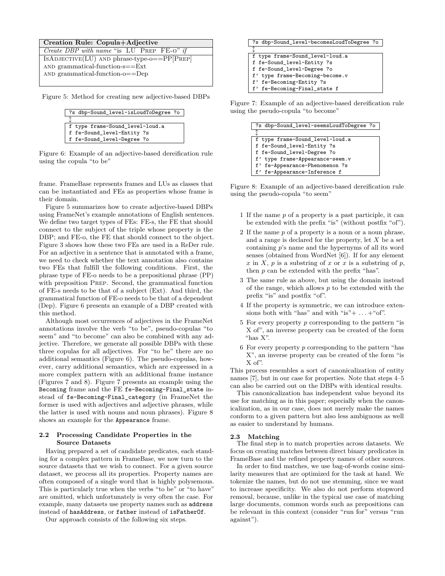#### **Creation Rule: Copula+Adjective**

| Create DBP with name "is LU PREP FE-O" if     |
|-----------------------------------------------|
| $IsADJECTIVE(LU)$ AND phrase-type-o==PP[PREP] |
| AND grammatical-function- $s = Ext$           |
| AND grammatical-function- $o = Dep$           |
|                                               |

Figure 5: Method for creating new adjective-based DBPs

| ?s dbp-Sound_level-isLoudToDegree ?o |  |
|--------------------------------------|--|
|                                      |  |
| f type frame-Sound_level-loud.a      |  |
| f fe-Sound_level-Entity ?s           |  |
| f fe-Sound_level-Degree ?o           |  |

Figure 6: Example of an adjective-based dereification rule using the copula "to be"

frame. FrameBase represents frames and LUs as classes that can be instantiated and FEs as properties whose frame is their domain.

Figure 5 summarizes how to create adjective-based DBPs using FrameNet's example annotations of English sentences. We define two target types of FEs: FE-s, the FE that should connect to the subject of the triple whose property is the DBP; and FE-o, the FE that should connect to the object. Figure 3 shows how these two FEs are used in a ReDer rule. For an adjective in a sentence that is annotated with a frame, we need to check whether the text annotation also contains two FEs that fulfill the following conditions. First, the phrase type of FE-o needs to be a prepositional phrase (PP) with preposition Prep. Second, the grammatical function of FE-s needs to be that of a subject (Ext). And third, the grammatical function of FE-o needs to be that of a dependent (Dep). Figure 6 presents an example of a DBP created with this method.

Although most occurrences of adjectives in the FrameNet annotations involve the verb "to be", pseudo-copulas "to seem" and "to become" can also be combined with any adjective. Therefore, we generate all possible DBPs with these three copulas for all adjectives. For "to be" there are no additional semantics (Figure 6). The pseudo-copulas, however, carry additional semantics, which are expressed in a more complex pattern with an additional frame instance (Figures 7 and 8). Figure 7 presents an example using the Becoming frame and the FE fe-Becoming-Final\_state instead of fe-Becoming-Final\_category (in FrameNet the former is used with adjectives and adjective phrases, while the latter is used with nouns and noun phrases). Figure 8 shows an example for the Appearance frame.

#### **2.2 Processing Candidate Properties in the Source Datasets**

Having prepared a set of candidate predicates, each standing for a complex pattern in FrameBase, we now turn to the source datasets that we wish to connect. For a given source dataset, we process all its properties. Property names are often composed of a single word that is highly polysemous. This is particularly true when the verbs "to be" or "to have" are omitted, which unfortunately is very often the case. For example, many datasets use property names such as address instead of hasAddress, or father instead of isFatherOf.

Our approach consists of the following six steps.

| ?s dbp-Sound_level-becomesLoudToDegree ?o |  |
|-------------------------------------------|--|
|                                           |  |
| f type frame-Sound_level-loud.a           |  |
| f fe-Sound_level-Entity ?s                |  |
| f fe-Sound_level-Degree ?o                |  |
| f' type frame-Becoming-become.v           |  |
| f' fe-Becoming-Entity ?s                  |  |
| f' fe-Becoming-Final_state f              |  |

Figure 7: Example of an adjective-based dereification rule using the pseudo-copula "to become"

| ?s dbp-Sound level-seemsLoudToDegree ?o |
|-----------------------------------------|
|                                         |
| f type frame-Sound_level-loud.a         |
| f fe-Sound_level-Entity ?s              |
| f fe-Sound_level-Degree ?o              |
| f' type frame-Appearance-seem.v         |
| f' fe-Appearance-Phenomenon ?s          |
| f' fe-Appearance-Inference f            |

Figure 8: Example of an adjective-based dereification rule using the pseudo-copula "to seem"

- 1 If the name *p* of a property is a past participle, it can be extended with the prefix "is" (without postfix "of").
- 2 If the name *p* of a property is a noun or a noun phrase, and a range is declared for the property, let *X* be a set containing *p*'s name and the hypernyms of all its word senses (obtained from WordNet [6]). If for any element  $x \text{ in } X$ ,  $p \text{ is a substring of } x \text{ or } x \text{ is a substring of } p$ , then *p* can be extended with the prefix "has".
- 3 The same rule as above, but using the domain instead of the range, which allows *p* to be extended with the prefix "is" and postfix "of".
- 4 If the property is symmetric, we can introduce extensions both with "has" and with "is" $+ \ldots +$ "of".
- 5 For every property *p* corresponding to the pattern "is X of", an inverse property can be created of the form "has X".
- 6 For every property *p* corresponding to the pattern "has X", an inverse property can be created of the form "is X of".

This process resembles a sort of canonicalization of entity names [7], but in our case for properties. Note that steps 4–5 can also be carried out on the DBPs with identical results.

This canonicalization has independent value beyond its use for matching as in this paper; especially when the canonicalization, as in our case, does not merely make the names conform to a given pattern but also less ambiguous as well as easier to understand by humans.

#### **2.3 Matching**

The final step is to match properties across datasets. We focus on creating matches between direct binary predicates in FrameBase and the refined property names of other sources.

In order to find matches, we use bag-of-words cosine similarity measures that are optimized for the task at hand. We tokenize the names, but do not use stemming, since we want to increase specificity. We also do not perform stopword removal, because, unlike in the typical use case of matching large documents, common words such as prepositions can be relevant in this context (consider "run for" versus "run against").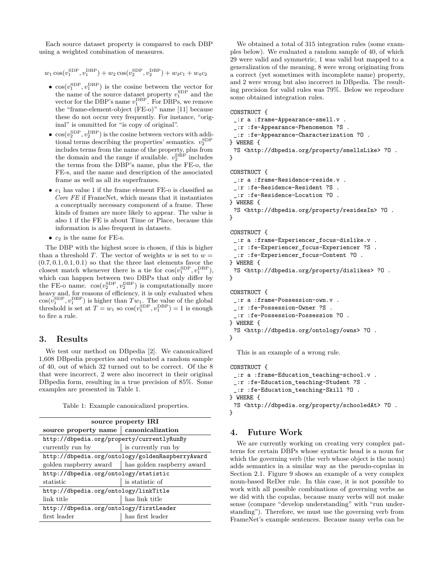Each source dataset property is compared to each DBP using a weighted combination of measures.

 $w_1 \cos(v_1^{\text{SDP}}, v_1^{\text{DBP}}) + w_2 \cos(v_2^{\text{SDP}}, v_2^{\text{DBP}}) + w_3 c_1 + w_4 c_2$ 

- $\cos(v_1^{\text{SDP}}, v_1^{\text{DBP}})$  is the cosine between the vector for the name of the source dataset property  $v_1^{\text{SDP}}$  and the vector for the DBP's name  $v_1^{\text{DBP}}$ . For DBPs, we remove the "frame-element-object (FE-o)" name [11] because these do not occur very frequently. For instance, "original" is ommitted for "is copy of original".
- $\cos(v_2^{\text{SDP}}, v_2^{\text{DBP}})$  is the cosine between vectors with additional terms describing the properties' semantics.  $v_2^{\text{SDP}}$ includes terms from the name of the property, plus from the domain and the range if available.  $v_2^{\text{DBP}}$  includes the terms from the DBP's name, plus the FE-o, the FE-s, and the name and description of the associated frame as well as all its superframes.
- $\bullet$   $c_1$  has value 1 if the frame element FE-o is classified as *Core FE* if FrameNet, which means that it instantiates a conceptually necessary component of a frame. These kinds of frames are more likely to appear. The value is also 1 if the FE is about Time or Place, because this information is also frequent in datasets.
- *c*<sup>2</sup> is the same for FE-s.

The DBP with the highest score is chosen, if this is higher than a threshold *T*. The vector of weights *w* is set to  $w =$  $(0.7, 0.1, 0.1, 0.1)$  so that the three last elements favor the closest match whenever there is a tie for  $cos(v_1^{\text{SDP}}, v_1^{\text{DBP}})$ , which can happen between two DBPs that only differ by the FE-o name.  $cos(v_2^{\text{SDP}}, v_2^{\text{DBP}})$  is computationally more heavy and, for reasons of efficiency, it is only evaluated when  $cos(v_1^{\text{SDP}}, v_1^{\text{DBP}})$  is higher than  $Tw_1$ . The value of the global threshold is set at  $T = w_1$  so  $\cos(v_1^{\text{SDP}}, v_1^{\text{DBP}}) = 1$  is enough to fire a rule.

## **3. Results**

We test our method on DBpedia [2]. We canonicalized 1,608 DBpedia properties and evaluated a random sample of 40, out of which 32 turned out to be correct. Of the 8 that were incorrect, 2 were also incorrect in their original DBpedia form, resulting in a true precision of 85%. Some examples are presented in Table 1.

|  |  | Table 1: Example canonicalized properties. |  |
|--|--|--------------------------------------------|--|
|--|--|--------------------------------------------|--|

| source property IRI                              |                                                     |  |
|--------------------------------------------------|-----------------------------------------------------|--|
|                                                  | source property name   canonicalization             |  |
| http://dbpedia.org/property/currentlyRunBy       |                                                     |  |
| currently run by                                 | is currently run by                                 |  |
| http://dbpedia.org/ontology/goldenRaspberryAward |                                                     |  |
|                                                  | golden raspberry award   has golden raspberry award |  |
| http://dbpedia.org/ontology/statistic            |                                                     |  |
| statistic                                        | is statistic of                                     |  |
| http://dbpedia.org/ontology/linkTitle            |                                                     |  |
| link title                                       | has link title                                      |  |
| http://dbpedia.org/ontology/firstLeader          |                                                     |  |
| first leader                                     | has first leader                                    |  |

We obtained a total of 315 integration rules (some examples below). We evaluated a random sample of 40, of which 29 were valid and symmetric, 1 was valid but mapped to a generalization of the meaning, 8 were wrong originating from a correct (yet sometimes with incomplete name) property, and 2 were wrong but also incorrect in DBpedia. The resulting precision for valid rules was 79%. Below we reproduce some obtained integration rules.

#### CONSTRUCT {

```
_:r a :frame-Appearance-smell.v .
 _:r :fe-Appearance-Phenomenon ?S .
 _:r :fe-Appearance-Characterization ?O .
} WHERE {
 ?S <http://dbpedia.org/property/smellsLike> ?O .
}
```

```
CONSTRUCT {
```

```
_:r a :frame-Residence-reside.v .
 _:r :fe-Residence-Resident ?S .
 _:r :fe-Residence-Location ?O .
} WHERE {
 ?S <http://dbpedia.org/property/residesIn> ?O .
}
```

```
CONSTRUCT {
 _:r a :frame-Experiencer_focus-dislike.v .
```

```
_:r :fe-Experiencer_focus-Experiencer ?S .
 _:r :fe-Experiencer_focus-Content ?O .
} WHERE {
```

```
?S <http://dbpedia.org/property/dislikes> ?O .
}
```

```
CONSTRUCT {
 _:r a :frame-Possession-own.v .
 _:r :fe-Possession-Owner ?S .
 _:r :fe-Possession-Possession ?O .
} WHERE {
 ?S <http://dbpedia.org/ontology/owns> ?O .
}
```
This is an example of a wrong rule.

```
CONSTRUCT {
 _:r a :frame-Education_teaching-school.v .
 _:r :fe-Education_teaching-Student ?S .
  _:r :fe-Education_teaching-Skill ?O .
} WHERE {
 ?S <http://dbpedia.org/property/schooledAt> ?O .
}
```
# **4. Future Work**

We are currently working on creating very complex patterns for certain DBPs whose syntactic head is a noun for which the governing verb (the verb whose object is the noun) adds semantics in a similar way as the pseudo-copulas in Section 2.1. Figure 9 shows an example of a very complex noun-based ReDer rule. In this case, it is not possible to work with all possible combinations of governing verbs as we did with the copulas, because many verbs will not make sense (compare "develop understanding" with "run understanding"). Therefore, we must use the governing verb from FrameNet's example sentences. Because many verbs can be